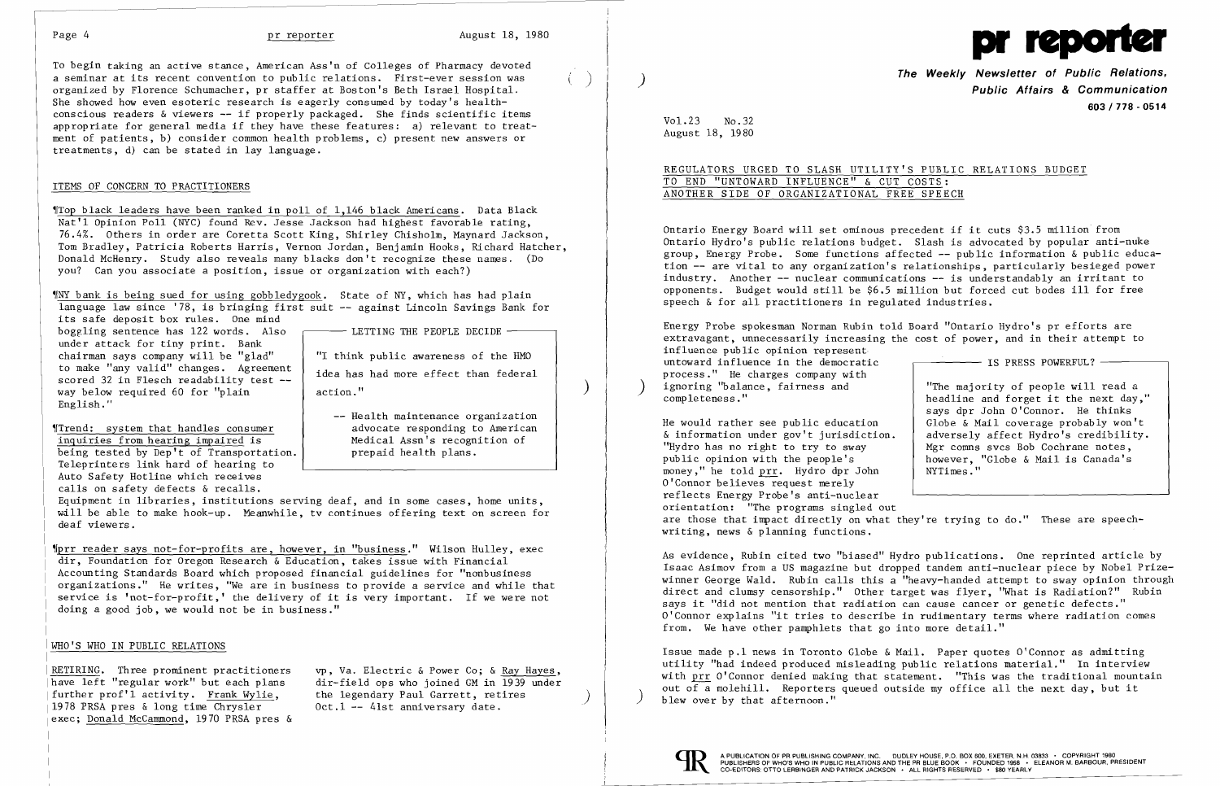

To begin taking an active stance, American Ass'n of Colleges of Pharmacy devoted a seminar at its recent convention to public relations. First-ever session was ) organized by Florence Schumacher, pr staffer at Boston's Beth Israel Hospital. She showed how even esoteric research is eagerly consumed by today's health conscious readers & viewers -- if properly packaged. She finds scientific items appropriate for general media if they have these features: a) relevant to treat ment of patients, b) consider common health problems, c) present new answers or treatments, d) can be stated in lay language.

### ITEMS OF CONCERN TO PRACTITIONERS

boggling sentence has 122 words. Also  $\sim$  LETTING THE PEOPLE DECIDE  $$ under attack for tiny print. Bank<br>chairman says company will be "glad" chairman says company will be "glad"  $\begin{array}{c} | \text{ "I think public awareness of the HMO} \end{array}$ to make "any valid" changes. Agreement to make any valid changes. Agreement<br>scored 32 in Flesch readability test --<br>way below required 60 for "plain" action." English. " way below required 60 for "plain

~ITop black leaders have been ranked in poll of 1,146 black Americans. Data Black Nat'l Opinion Poll (NYC) found Rev. Jesse Jackson had highest favorable rating, 76.4%. Others in order are Coretta Scott King, Shirley Chisholm, Maynard Jackson, Tom Bradley, Patricia Roberts Harris, Vernon Jordan, Benjamin Hooks, Richard Hatcher, Donald McHenry. Study also reveals many blacks don't recognize these names. (Do you? Can you associate a position, issue or organization with each?)

~[prr reader says not-for-profits are, however, in "business." Wilson Hulley, exec dir, Foundation for Oregon Research & Education, takes issue with Financial Accounting Standards Board which proposed financial guidelines for "nonbusiness organizations." He writes, "We are in business to provide a service and while that service is 'not-for-profit,' the delivery of it is very important. If we were not doing a good job, we would not be in business."

~[NY bank is being sued for using gobbledygook. State of NY, which has had plain language law since '78, is bringing first suit -- against Lincoln Savings Bank for its safe deposit box rules. One mind

further prof'l activity. Frank Wylie, the legendary Paul Garrett, retires 1978 PRSA pres & long time Chrysler 0ct.1 -- 41st anniversary date. exec; Donald McCammond, 1970 PRSA pres &

|RETIRING. Three prominent practitioners vp, Va. Electric & Power Co; & <u>Ray Hayes</u>,<br>|have left "regular work" but each plans dir-field ops who joined GM in 1939 under |have left "regular work" but each plans dir-field ops who joined GM in 1939 under<br>|further prof'l activity. Frank Wylie. the legendary Paul Garrett. retires

-- Health maintenance organization

advocate responding to American

Medical Assn's recognition of

prepaid health plans.

~rTrend: system that handles consumer inquiries from hearing impaired is being tested by Dep't of Transportation. Teleprinters link hard of hearing to Auto Safety Hotline which receives calls on safety defects & recalls.

Energy Probe spokesman Norman Rubin told Board "Ontario Hydro's pr efforts are extravagant, unnecessarily increasing the cost of power, and in their attempt to influence public opinion represent untoward influence in the democratic  $\overline{\phantom{a}}$  IS PRESS POWERFUL? process." He charges company with<br>ignoring "balance, fairness and ignoring "balance, fairness and  $\begin{array}{c|c} \text{...} \\ \text{...} \\ \text{...} \\ \text{...} \end{array}$  "The majority of people will read a completeness."

Equipment in libraries, institutions serving deaf, and in some cases, home units, will be able to make hook-up. Meanwhile, tv continues offering text on screen for deaf viewers.

headline and forget it the next day," says dpr John O'Connor. He thinks

He would rather see public education  $\alpha$  Globe & Mail coverage probably won't  $\alpha$  information under gov't jurisdiction. <br>A adversely affect Hydro's credibility.  $\&$  information under gov't jurisdiction.<br>"Hydro has no right to try to sway "Hydro has no right to try to sway  $\begin{array}{c|c} \text{My} \text{My} \text{ly} \\ \text{My} \text{My} \text{My} \text{ly} \\ \text{Now} \text{My} \text{ly} \\ \text{Now} \text{My} \text{ly} \\ \text{My} \text{My} \\ \text{My} \text{My} \\ \text{My} \text{My} \\ \text{My} \text{My} \\ \text{My} \text{My} \\ \text{My} \text{My} \\ \text{My} \text{My} \\ \text{My} \text{My} \\ \text{My} \text{My} \\ \text{My} \text{$ however, "Globe & Mail is Canada's NYTimes." money," he told prr. Hydro dpr John O'Connor believes request merely reflects Energy Probe's anti-nuclear orientation: "The programs singled out are those that impact directly on what they're trying to do." These are speechwriting, news & planning functions.

### WHO'S WHO IN PUBLIC RELATIONS

**The Weekly Newsletter of Public Relations,** ) **Public Affairs & Communication 603/778 - 0514** 

Vol. 23 No. 32 August 18, 1980

# REGULATORS URGED TO SLASH UTILITY'S PUBLIC RELATIONS BUDGET TO END "UNTOWARD INFLUENCE" & CUT COSTS: ANOTHER SIDE OF ORGANIZATIONAL FREE SPEECH

Ontario Energy Board will set ominous precedent if it cuts \$3.5 million from Ontario Hydro's public relations budget. Slash is advocated by popular anti-nuke group, Energy Probe. Some functions affected -- public information & public education -- are vital to any organization's relationships, particularly besieged power industry. Another -- nuclear communications -- is understandably an irritant to opponents. Budget would still be \$6.5 million but forced cut bodes ill for free speech & for all practitioners in regulated industries.

As evidence, Rubin cited two "biased" Hydro publications. One reprinted article by Isaac Asimov from a US magazine but dropped tandem anti-nuclear piece by Nobel Prizewinner George Wald. Rubin calls this a "heavy-handed attempt to sway opinion through direct and clumsy censorship." Other target was flyer, "What is Radiation?" Rubin says it "did not mention that radiation can cause cancer or genetic defects." O'Connor explains "it tries to describe in rudimentary terms where radiation comes from. We have other pamphlets that go into more detail."

Issue made p.1 news in Toronto Globe & Mail. Paper quotes  $0'$  Connor as admitting utility "had indeed produced misleading public relations material." In interview with prr O'Connor denied making that statement. "This was the traditional mountain out of a molehill. Reporters queued outside my office all the next day, but it blew over by that afternoon."